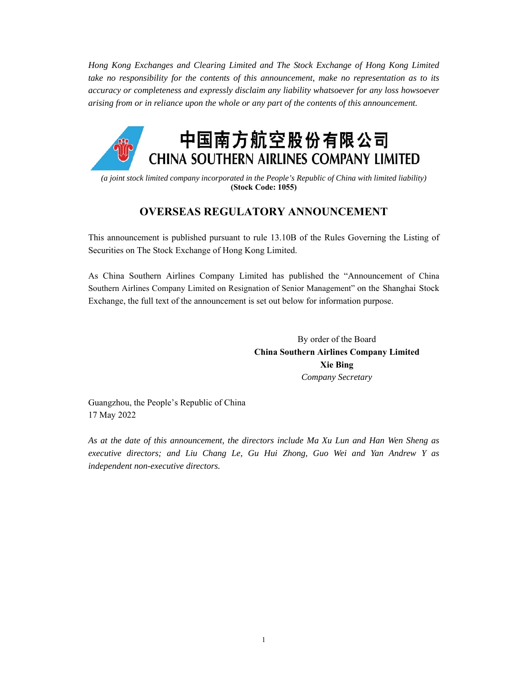*Hong Kong Exchanges and Clearing Limited and The Stock Exchange of Hong Kong Limited take no responsibility for the contents of this announcement, make no representation as to its accuracy or completeness and expressly disclaim any liability whatsoever for any loss howsoever arising from or in reliance upon the whole or any part of the contents of this announcement.* 



*(a joint stock limited company incorporated in the People's Republic of China with limited liability)* **(Stock Code: 1055)** 

## **OVERSEAS REGULATORY ANNOUNCEMENT**

This announcement is published pursuant to rule 13.10B of the Rules Governing the Listing of Securities on The Stock Exchange of Hong Kong Limited.

As China Southern Airlines Company Limited has published the "Announcement of China Southern Airlines Company Limited on Resignation of Senior Management" on the Shanghai Stock Exchange, the full text of the announcement is set out below for information purpose.

> By order of the Board **China Southern Airlines Company Limited Xie Bing**  *Company Secretary*

Guangzhou, the People's Republic of China 17 May 2022

*As at the date of this announcement, the directors include Ma Xu Lun and Han Wen Sheng as executive directors; and Liu Chang Le, Gu Hui Zhong, Guo Wei and Yan Andrew Y as independent non-executive directors.*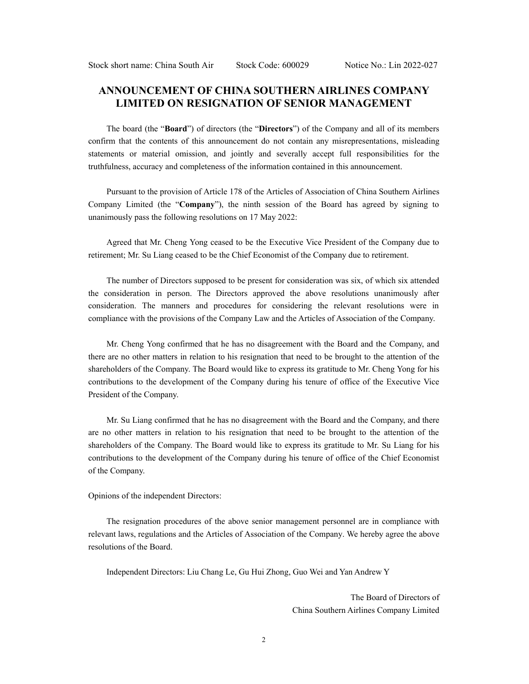## **ANNOUNCEMENT OF CHINA SOUTHERN AIRLINES COMPANY LIMITED ON RESIGNATION OF SENIOR MANAGEMENT**

The board (the "**Board**") of directors (the "**Directors**") of the Company and all of its members confirm that the contents of this announcement do not contain any misrepresentations, misleading statements or material omission, and jointly and severally accept full responsibilities for the truthfulness, accuracy and completeness of the information contained in this announcement.

Pursuant to the provision of Article 178 of the Articles of Association of China Southern Airlines Company Limited (the "**Company**"), the ninth session of the Board has agreed by signing to unanimously pass the following resolutions on 17 May 2022:

Agreed that Mr. Cheng Yong ceased to be the Executive Vice President of the Company due to retirement; Mr. Su Liang ceased to be the Chief Economist of the Company due to retirement.

The number of Directors supposed to be present for consideration was six, of which six attended the consideration in person. The Directors approved the above resolutions unanimously after consideration. The manners and procedures for considering the relevant resolutions were in compliance with the provisions of the Company Law and the Articles of Association of the Company.

Mr. Cheng Yong confirmed that he has no disagreement with the Board and the Company, and there are no other matters in relation to his resignation that need to be brought to the attention of the shareholders of the Company. The Board would like to express its gratitude to Mr. Cheng Yong for his contributions to the development of the Company during his tenure of office of the Executive Vice President of the Company.

Mr. Su Liang confirmed that he has no disagreement with the Board and the Company, and there are no other matters in relation to his resignation that need to be brought to the attention of the shareholders of the Company. The Board would like to express its gratitude to Mr. Su Liang for his contributions to the development of the Company during his tenure of office of the Chief Economist of the Company.

## Opinions of the independent Directors:

The resignation procedures of the above senior management personnel are in compliance with relevant laws, regulations and the Articles of Association of the Company. We hereby agree the above resolutions of the Board.

Independent Directors: Liu Chang Le, Gu Hui Zhong, Guo Wei and Yan Andrew Y

The Board of Directors of China Southern Airlines Company Limited